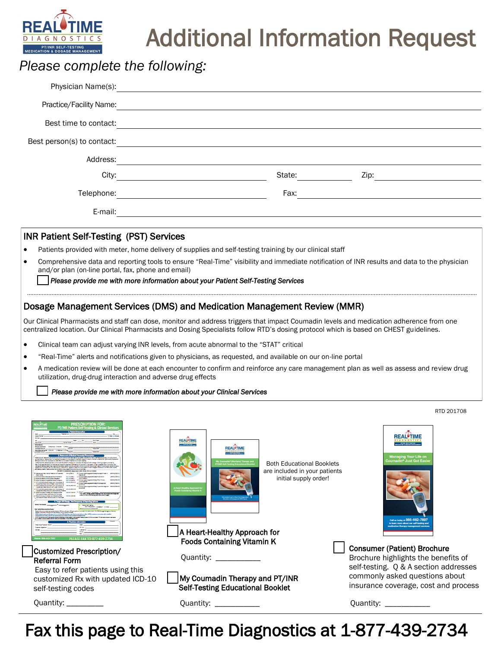

# Additional Information Request

# *Please complete the following:*

| Physician Name(s):         |  |        |      |  |
|----------------------------|--|--------|------|--|
| Practice/Facility Name:    |  |        |      |  |
| Best time to contact:      |  |        |      |  |
| Best person(s) to contact: |  |        |      |  |
| Address:                   |  |        |      |  |
| City:                      |  | State: | Zip: |  |
| Telephone:                 |  | Fax:   |      |  |
| E-mail:                    |  |        |      |  |
|                            |  |        |      |  |

### INR Patient Self-Testing (PST) Services

- Patients provided with meter, home delivery of supplies and self-testing training by our clinical staff
- Comprehensive data and reporting tools to ensure "Real-Time" visibility and immediate notification of INR results and data to the physician and/or plan (on-line portal, fax, phone and email)

#### *Please provide me with more information about your Patient Self-Testing Services*

### Dosage Management Services (DMS) and Medication Management Review (MMR)

Our Clinical Pharmacists and staff can dose, monitor and address triggers that impact Coumadin levels and medication adherence from one centralized location. Our Clinical Pharmacists and Dosing Specialists follow RTD's dosing protocol which is based on CHEST guidelines.

- Clinical team can adjust varying INR levels, from acute abnormal to the "STAT" critical
- "Real-Time" alerts and notifications given to physicians, as requested, and available on our on-line portal
- A medication review will be done at each encounter to confirm and reinforce any care management plan as well as assess and review drug utilization, drug-drug interaction and adverse drug effects

#### *Please provide me with more information about your Clinical Services*

|                                                                                                                                                                                                                                                                                                                                                                                                                                                                                                                                                                                                                                                                                                                                                                                                                                                                                                                                                                                                                                                                                                                                                                                                                                                                                                                                                                                                                                                                                                                                                                                                                                                                                                                                                                                                                                                              |                                                                                                                                                                                                                                                                                       | RTD 201708                                                                                                                                                                                                                         |  |
|--------------------------------------------------------------------------------------------------------------------------------------------------------------------------------------------------------------------------------------------------------------------------------------------------------------------------------------------------------------------------------------------------------------------------------------------------------------------------------------------------------------------------------------------------------------------------------------------------------------------------------------------------------------------------------------------------------------------------------------------------------------------------------------------------------------------------------------------------------------------------------------------------------------------------------------------------------------------------------------------------------------------------------------------------------------------------------------------------------------------------------------------------------------------------------------------------------------------------------------------------------------------------------------------------------------------------------------------------------------------------------------------------------------------------------------------------------------------------------------------------------------------------------------------------------------------------------------------------------------------------------------------------------------------------------------------------------------------------------------------------------------------------------------------------------------------------------------------------------------|---------------------------------------------------------------------------------------------------------------------------------------------------------------------------------------------------------------------------------------------------------------------------------------|------------------------------------------------------------------------------------------------------------------------------------------------------------------------------------------------------------------------------------|--|
| <b>PRESCRIPTION FOR:</b><br>PT/INR Patient Self-Testing & Clinical Services<br>Day Plaine<br><b>INSTEAM</b> O<br><b>Primary Insurance</b><br><b><i>International Property</i></b><br>confliction the optimal has been on financial confliction memorial competition for the and off column a training on<br>Paid Threshop buy of this to way a that hadded a country of set busing At this firm. If the caterial their condition to condition to<br>rakes and testing unsafe in g, cognition discrimed, patient should continue in PFEFs Home 800 Monitoring Program for as long as helides remain<br>custom in the future, I agree to notify 970 if the patient or their campio<br>of testing create. Patent should be enrolled in this program for a minimum of circums<br>PATIENT'S DIAGNOSIS ISANDIARM AND ICO-9 ACO-10 CODE<br>an WayPresse of Practices W33/200.2 Q Principle procedure<br><b><i>SHAFT THINK</i></b><br>Anal Fishator, Perspanal Atlat Fishator<br><b>AST STAKES</b><br>Arter Floridate / Chronic Nine Floridates<br><b>ASSESSMENT</b><br>2 Primary Highway and A<br>Aren't Platford and Proposition Aren't Platford at<br><b>COT STARK RD</b><br>OVELS NON-No.de Redellers and Thrombook of<br>45840/92.401<br>Q Primary Huteman Addie State Publishopping<br>would be have been of their Lowe Edwards.<br><b>Burn Boone</b><br>.<br>W LENDUNA Britannian and Throntonia of<br>Paymond Deep Versuch LeN Lower Extensity<br>кваждля 2.410 Q Роску принималась<br>DVI LENDE/No.de Entertainment Thrombook of<br>wouldn't been thing of Lower Retrovery Maders<br>One hannout Entertainment Members Office<br>415.19.706.00<br>The Other, choose patient diagnosis from the of approval de<br><b>Montgom Entity Ann with Audio Cor Publisheries</b><br><b>INFORT INFIRMANE</b><br>one: 866-662-789)<br><b>PI FASE FAX TO 877-439-275</b> | <b>REAL TIME</b><br><b>REAL<sup>O</sup>TIME</b><br>My Coumadin® (Warfarin) Therapy and<br><b>Both Educational Booklets</b><br>are included in your patients<br>initial supply order!<br>nds Containing Vitamin I<br>A Heart-Healthy Approach for<br><b>Foods Containing Vitamin K</b> | <b>REAL</b> TIME<br><b>IAGNOSTIC</b><br><b>Managing Your Life on</b><br><b>Coumadin<sup>®</sup> Just Got Easie</b><br>Call us today at 866-662-789<br>to learn more about our self-testing and<br>cation therapy management servic |  |
| Customized Prescription/                                                                                                                                                                                                                                                                                                                                                                                                                                                                                                                                                                                                                                                                                                                                                                                                                                                                                                                                                                                                                                                                                                                                                                                                                                                                                                                                                                                                                                                                                                                                                                                                                                                                                                                                                                                                                                     |                                                                                                                                                                                                                                                                                       | <b>Consumer (Patient) Brochure</b>                                                                                                                                                                                                 |  |
| Referral Form                                                                                                                                                                                                                                                                                                                                                                                                                                                                                                                                                                                                                                                                                                                                                                                                                                                                                                                                                                                                                                                                                                                                                                                                                                                                                                                                                                                                                                                                                                                                                                                                                                                                                                                                                                                                                                                | Quantity: ____________                                                                                                                                                                                                                                                                | Brochure highlights the benefits of<br>self-testing. Q & A section addresses                                                                                                                                                       |  |
| Easy to refer patients using this<br>customized Rx with updated ICD-10<br>self-testing codes                                                                                                                                                                                                                                                                                                                                                                                                                                                                                                                                                                                                                                                                                                                                                                                                                                                                                                                                                                                                                                                                                                                                                                                                                                                                                                                                                                                                                                                                                                                                                                                                                                                                                                                                                                 | My Coumadin Therapy and PT/INR<br><b>Self-Testing Educational Booklet</b>                                                                                                                                                                                                             | commonly asked questions about<br>insurance coverage, cost and process                                                                                                                                                             |  |
| Quantity: __________                                                                                                                                                                                                                                                                                                                                                                                                                                                                                                                                                                                                                                                                                                                                                                                                                                                                                                                                                                                                                                                                                                                                                                                                                                                                                                                                                                                                                                                                                                                                                                                                                                                                                                                                                                                                                                         | Quantity: _____________                                                                                                                                                                                                                                                               | Quantity: Quantity:                                                                                                                                                                                                                |  |

Fax this page to Real-Time Diagnostics at 1-877-439-2734